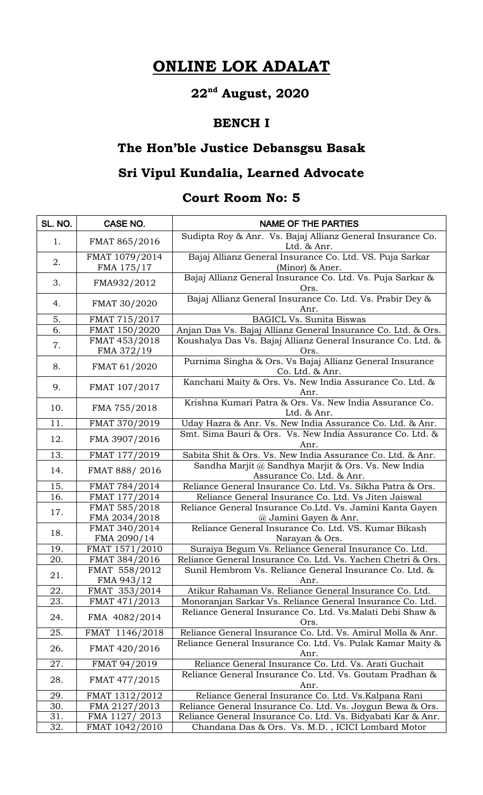# **ONLINE LOK ADALAT**

## **22nd August, 2020**

#### **BENCH I**

### **The Hon'ble Justice Debansgsu Basak**

### **Sri Vipul Kundalia, Learned Advocate**

#### **Court Room No: 5**

| SL. NO. | CASE NO.                       | <b>NAME OF THE PARTIES</b>                                                         |
|---------|--------------------------------|------------------------------------------------------------------------------------|
| 1.      | FMAT 865/2016                  | Sudipta Roy & Anr. Vs. Bajaj Allianz General Insurance Co.<br>Ltd. & Anr.          |
| 2.      | FMAT 1079/2014<br>FMA 175/17   | Bajaj Allianz General Insurance Co. Ltd. VS. Puja Sarkar<br>(Minor) & Aner.        |
| 3.      | FMA932/2012                    | Bajaj Allianz General Insurance Co. Ltd. Vs. Puja Sarkar &<br>Ors.                 |
| 4.      | FMAT 30/2020                   | Bajaj Allianz General Insurance Co. Ltd. Vs. Prabir Dey &<br>Anr.                  |
| 5.      | FMAT 715/2017                  | <b>BAGICL Vs. Sunita Biswas</b>                                                    |
| 6.      | FMAT 150/2020                  | Anjan Das Vs. Bajaj Allianz General Insurance Co. Ltd. & Ors.                      |
| 7.      | FMAT 453/2018<br>FMA 372/19    | Koushalya Das Vs. Bajaj Allianz General Insurance Co. Ltd. &<br>Ors.               |
| 8.      | FMAT 61/2020                   | Purnima Singha & Ors. Vs Bajaj Allianz General Insurance<br>Co. Ltd. & Anr.        |
| 9.      | FMAT 107/2017                  | Kanchani Maity & Ors. Vs. New India Assurance Co. Ltd. &<br>Anr.                   |
| 10.     | FMA 755/2018                   | Krishna Kumari Patra & Ors. Vs. New India Assurance Co.<br>Ltd. & Anr.             |
| 11.     | FMAT 370/2019                  | Uday Hazra & Anr. Vs. New India Assurance Co. Ltd. & Anr.                          |
| 12.     | FMA 3907/2016                  | Smt. Sima Bauri & Ors. Vs. New India Assurance Co. Ltd. &<br>Anr.                  |
| 13.     | FMAT 177/2019                  | Sabita Shit & Ors. Vs. New India Assurance Co. Ltd. & Anr.                         |
| 14.     | FMAT 888/2016                  | Sandha Marjit @ Sandhya Marjit & Ors. Vs. New India<br>Assurance Co. Ltd. & Anr.   |
| 15.     | FMAT 784/2014                  | Reliance General Insurance Co. Ltd. Vs. Sikha Patra & Ors.                         |
| 16.     | FMAT 177/2014                  | Reliance General Insurance Co. Ltd. Vs Jiten Jaiswal                               |
| 17.     | FMAT 585/2018<br>FMA 2034/2018 | Reliance General Insurance Co.Ltd. Vs. Jamini Kanta Gayen<br>@ Jamini Gayen & Anr. |
| 18.     | FMAT 340/2014<br>FMA 2090/14   | Reliance General Insurance Co. Ltd. VS. Kumar Bikash<br>Narayan & Ors.             |
| 19.     | FMAT 1571/2010                 | Suraiya Begum Vs. Reliance General Insurance Co. Ltd.                              |
| 20.     | FMAT 384/2016                  | Reliance General Insurance Co. Ltd. Vs. Yachen Chetri & Ors.                       |
| 21.     | FMAT 558/2012<br>FMA 943/12    | Sunil Hembrom Vs. Reliance General Insurance Co. Ltd. &<br>Anr.                    |
| 22.     | FMAT 353/2014                  | Atikur Rahaman Vs. Reliance General Insurance Co. Ltd.                             |
| 23.     | FMAT 471/2013                  | Monoranjan Sarkar Vs. Reliance General Insurance Co. Ltd.                          |
| 24.     | FMA 4082/2014                  | Reliance General Insurance Co. Ltd. Vs. Malati Debi Shaw &<br>Ors.                 |
| 25.     | FMAT 1146/2018                 | Reliance General Insurance Co. Ltd. Vs. Amirul Molla & Anr.                        |
| 26.     | FMAT 420/2016                  | Reliance General Insurance Co. Ltd. Vs. Pulak Kamar Maity &<br>Anr.                |
| 27.     | FMAT 94/2019                   | Reliance General Insurance Co. Ltd. Vs. Arati Guchait                              |
| 28.     | FMAT 477/2015                  | Reliance General Insurance Co. Ltd. Vs. Goutam Pradhan &<br>Anr.                   |
| 29.     | FMAT 1312/2012                 | Reliance General Insurance Co. Ltd. Vs. Kalpana Rani                               |
| 30.     | FMA 2127/2013                  | Reliance General Insurance Co. Ltd. Vs. Joygun Bewa & Ors.                         |
| 31.     | FMA 1127/2013                  | Reliance General Insurance Co. Ltd. Vs. Bidyabati Kar & Anr.                       |
| 32.     | FMAT 1042/2010                 | Chandana Das & Ors. Vs. M.D., ICICI Lombard Motor                                  |